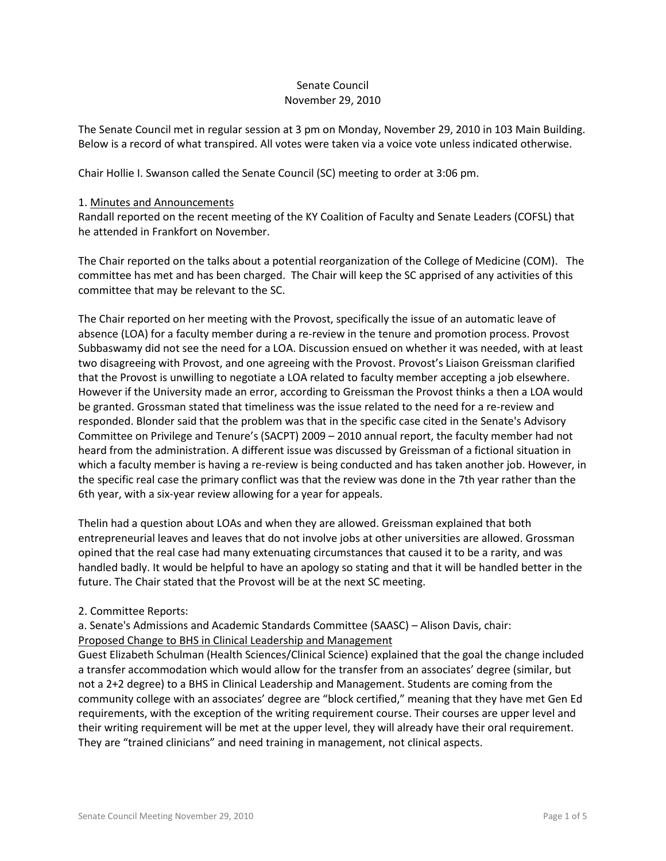# Senate Council November 29, 2010

The Senate Council met in regular session at 3 pm on Monday, November 29, 2010 in 103 Main Building. Below is a record of what transpired. All votes were taken via a voice vote unless indicated otherwise.

Chair Hollie I. Swanson called the Senate Council (SC) meeting to order at 3:06 pm.

#### 1. Minutes and Announcements

Randall reported on the recent meeting of the KY Coalition of Faculty and Senate Leaders (COFSL) that he attended in Frankfort on November.

The Chair reported on the talks about a potential reorganization of the College of Medicine (COM). The committee has met and has been charged. The Chair will keep the SC apprised of any activities of this committee that may be relevant to the SC.

The Chair reported on her meeting with the Provost, specifically the issue of an automatic leave of absence (LOA) for a faculty member during a re-review in the tenure and promotion process. Provost Subbaswamy did not see the need for a LOA. Discussion ensued on whether it was needed, with at least two disagreeing with Provost, and one agreeing with the Provost. Provost's Liaison Greissman clarified that the Provost is unwilling to negotiate a LOA related to faculty member accepting a job elsewhere. However if the University made an error, according to Greissman the Provost thinks a then a LOA would be granted. Grossman stated that timeliness was the issue related to the need for a re-review and responded. Blonder said that the problem was that in the specific case cited in the Senate's Advisory Committee on Privilege and Tenure's (SACPT) 2009 – 2010 annual report, the faculty member had not heard from the administration. A different issue was discussed by Greissman of a fictional situation in which a faculty member is having a re-review is being conducted and has taken another job. However, in the specific real case the primary conflict was that the review was done in the 7th year rather than the 6th year, with a six-year review allowing for a year for appeals.

Thelin had a question about LOAs and when they are allowed. Greissman explained that both entrepreneurial leaves and leaves that do not involve jobs at other universities are allowed. Grossman opined that the real case had many extenuating circumstances that caused it to be a rarity, and was handled badly. It would be helpful to have an apology so stating and that it will be handled better in the future. The Chair stated that the Provost will be at the next SC meeting.

#### 2. Committee Reports:

a. Senate's Admissions and Academic Standards Committee (SAASC) – Alison Davis, chair: Proposed Change to BHS in Clinical Leadership and Management

Guest Elizabeth Schulman (Health Sciences/Clinical Science) explained that the goal the change included a transfer accommodation which would allow for the transfer from an associates' degree (similar, but not a 2+2 degree) to a BHS in Clinical Leadership and Management. Students are coming from the community college with an associates' degree are "block certified," meaning that they have met Gen Ed requirements, with the exception of the writing requirement course. Their courses are upper level and their writing requirement will be met at the upper level, they will already have their oral requirement. They are "trained clinicians" and need training in management, not clinical aspects.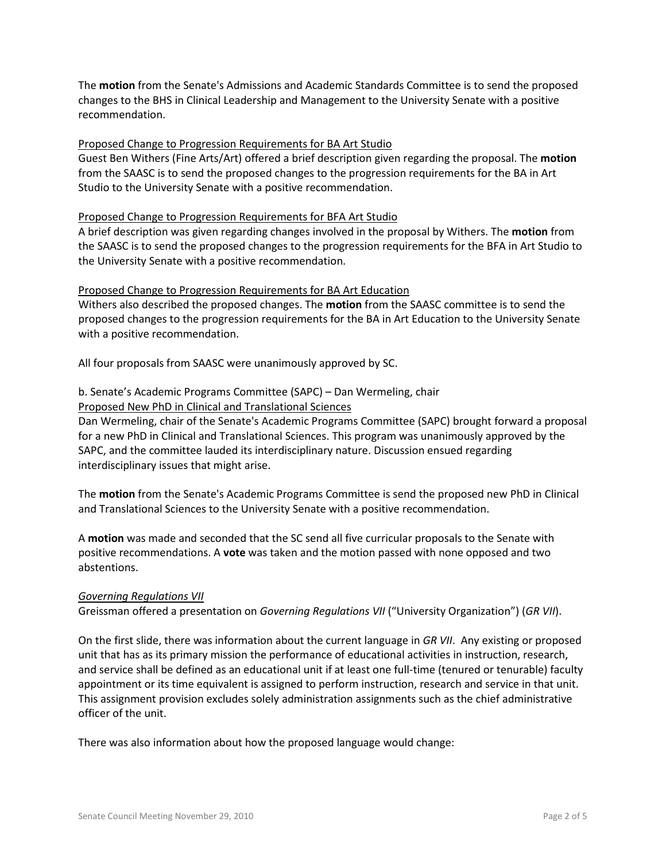The **motion** from the Senate's Admissions and Academic Standards Committee is to send the proposed changes to the BHS in Clinical Leadership and Management to the University Senate with a positive recommendation.

### Proposed Change to Progression Requirements for BA Art Studio

Guest Ben Withers (Fine Arts/Art) offered a brief description given regarding the proposal. The **motion** from the SAASC is to send the proposed changes to the progression requirements for the BA in Art Studio to the University Senate with a positive recommendation.

### Proposed Change to Progression Requirements for BFA Art Studio

A brief description was given regarding changes involved in the proposal by Withers. The **motion** from the SAASC is to send the proposed changes to the progression requirements for the BFA in Art Studio to the University Senate with a positive recommendation.

### Proposed Change to Progression Requirements for BA Art Education

Withers also described the proposed changes. The **motion** from the SAASC committee is to send the proposed changes to the progression requirements for the BA in Art Education to the University Senate with a positive recommendation.

All four proposals from SAASC were unanimously approved by SC.

### b. Senate's Academic Programs Committee (SAPC) – Dan Wermeling, chair Proposed New PhD in Clinical and Translational Sciences

Dan Wermeling, chair of the Senate's Academic Programs Committee (SAPC) brought forward a proposal for a new PhD in Clinical and Translational Sciences. This program was unanimously approved by the SAPC, and the committee lauded its interdisciplinary nature. Discussion ensued regarding interdisciplinary issues that might arise.

The **motion** from the Senate's Academic Programs Committee is send the proposed new PhD in Clinical and Translational Sciences to the University Senate with a positive recommendation.

A **motion** was made and seconded that the SC send all five curricular proposals to the Senate with positive recommendations. A **vote** was taken and the motion passed with none opposed and two abstentions.

#### *Governing Regulations VII*

Greissman offered a presentation on *Governing Regulations VII* ("University Organization") (*GR VII*).

On the first slide, there was information about the current language in *GR VII*. Any existing or proposed unit that has as its primary mission the performance of educational activities in instruction, research, and service shall be defined as an educational unit if at least one full-time (tenured or tenurable) faculty appointment or its time equivalent is assigned to perform instruction, research and service in that unit. This assignment provision excludes solely administration assignments such as the chief administrative officer of the unit.

There was also information about how the proposed language would change: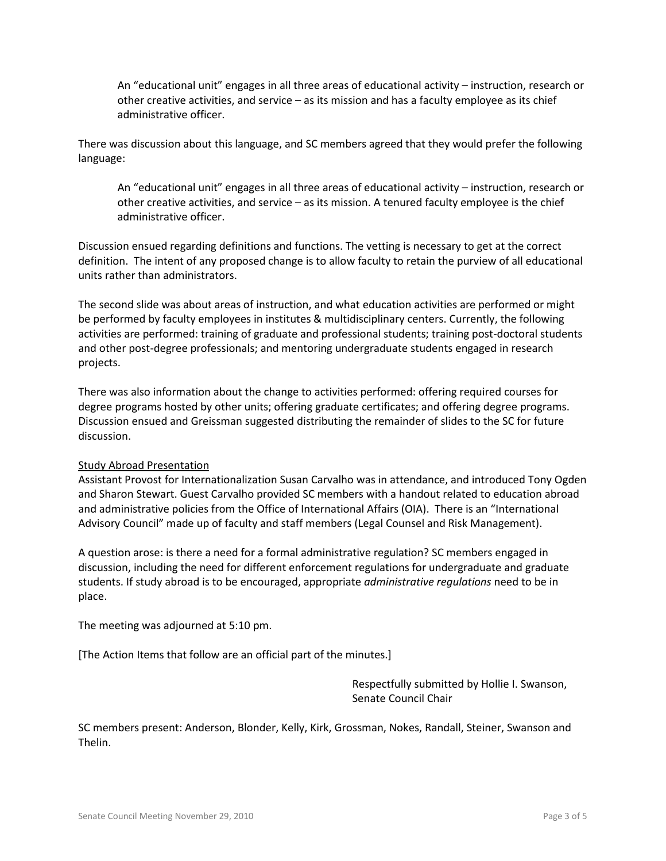An "educational unit" engages in all three areas of educational activity – instruction, research or other creative activities, and service – as its mission and has a faculty employee as its chief administrative officer.

There was discussion about this language, and SC members agreed that they would prefer the following language:

An "educational unit" engages in all three areas of educational activity – instruction, research or other creative activities, and service – as its mission. A tenured faculty employee is the chief administrative officer.

Discussion ensued regarding definitions and functions. The vetting is necessary to get at the correct definition. The intent of any proposed change is to allow faculty to retain the purview of all educational units rather than administrators.

The second slide was about areas of instruction, and what education activities are performed or might be performed by faculty employees in institutes & multidisciplinary centers. Currently, the following activities are performed: training of graduate and professional students; training post-doctoral students and other post-degree professionals; and mentoring undergraduate students engaged in research projects.

There was also information about the change to activities performed: offering required courses for degree programs hosted by other units; offering graduate certificates; and offering degree programs. Discussion ensued and Greissman suggested distributing the remainder of slides to the SC for future discussion.

## Study Abroad Presentation

Assistant Provost for Internationalization Susan Carvalho was in attendance, and introduced Tony Ogden and Sharon Stewart. Guest Carvalho provided SC members with a handout related to education abroad and administrative policies from the Office of International Affairs (OIA). There is an "International Advisory Council" made up of faculty and staff members (Legal Counsel and Risk Management).

A question arose: is there a need for a formal administrative regulation? SC members engaged in discussion, including the need for different enforcement regulations for undergraduate and graduate students. If study abroad is to be encouraged, appropriate *administrative regulations* need to be in place.

The meeting was adjourned at 5:10 pm.

[The Action Items that follow are an official part of the minutes.]

Respectfully submitted by Hollie I. Swanson, Senate Council Chair

SC members present: Anderson, Blonder, Kelly, Kirk, Grossman, Nokes, Randall, Steiner, Swanson and Thelin.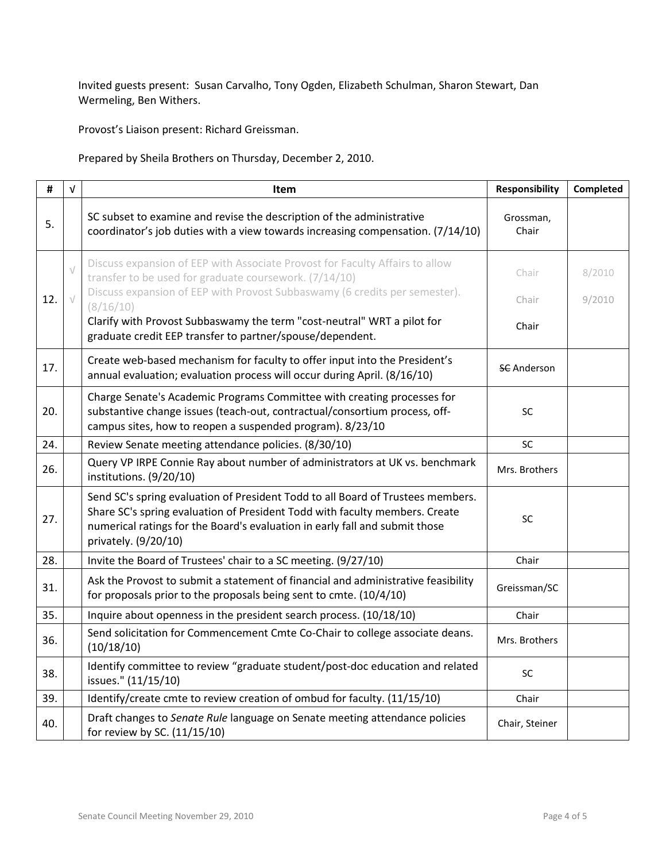Invited guests present: Susan Carvalho, Tony Ogden, Elizabeth Schulman, Sharon Stewart, Dan Wermeling, Ben Withers.

Provost's Liaison present: Richard Greissman.

Prepared by Sheila Brothers on Thursday, December 2, 2010.

| #   | $\sqrt{ }$ | Item                                                                                                                                                                                                                                                                  | <b>Responsibility</b> | Completed |
|-----|------------|-----------------------------------------------------------------------------------------------------------------------------------------------------------------------------------------------------------------------------------------------------------------------|-----------------------|-----------|
| 5.  |            | SC subset to examine and revise the description of the administrative<br>coordinator's job duties with a view towards increasing compensation. (7/14/10)                                                                                                              | Grossman,<br>Chair    |           |
|     | $\sqrt{}$  | Discuss expansion of EEP with Associate Provost for Faculty Affairs to allow<br>transfer to be used for graduate coursework. (7/14/10)<br>Discuss expansion of EEP with Provost Subbaswamy (6 credits per semester).                                                  | Chair                 | 8/2010    |
| 12. | $\sqrt{}$  | (8/16/10)<br>Clarify with Provost Subbaswamy the term "cost-neutral" WRT a pilot for<br>graduate credit EEP transfer to partner/spouse/dependent.                                                                                                                     | Chair<br>Chair        | 9/2010    |
| 17. |            | Create web-based mechanism for faculty to offer input into the President's<br>annual evaluation; evaluation process will occur during April. (8/16/10)                                                                                                                | <b>SC</b> Anderson    |           |
| 20. |            | Charge Senate's Academic Programs Committee with creating processes for<br>substantive change issues (teach-out, contractual/consortium process, off-<br>campus sites, how to reopen a suspended program). 8/23/10                                                    | <b>SC</b>             |           |
| 24. |            | Review Senate meeting attendance policies. (8/30/10)                                                                                                                                                                                                                  | <b>SC</b>             |           |
| 26. |            | Query VP IRPE Connie Ray about number of administrators at UK vs. benchmark<br>institutions. (9/20/10)                                                                                                                                                                | Mrs. Brothers         |           |
| 27. |            | Send SC's spring evaluation of President Todd to all Board of Trustees members.<br>Share SC's spring evaluation of President Todd with faculty members. Create<br>numerical ratings for the Board's evaluation in early fall and submit those<br>privately. (9/20/10) | SC                    |           |
| 28. |            | Invite the Board of Trustees' chair to a SC meeting. (9/27/10)                                                                                                                                                                                                        | Chair                 |           |
| 31. |            | Ask the Provost to submit a statement of financial and administrative feasibility<br>for proposals prior to the proposals being sent to cmte. (10/4/10)                                                                                                               | Greissman/SC          |           |
| 35. |            | Inquire about openness in the president search process. (10/18/10)                                                                                                                                                                                                    | Chair                 |           |
| 36. |            | Send solicitation for Commencement Cmte Co-Chair to college associate deans.<br>(10/18/10)                                                                                                                                                                            | Mrs. Brothers         |           |
| 38. |            | Identify committee to review "graduate student/post-doc education and related<br>issues." (11/15/10)                                                                                                                                                                  | SC                    |           |
| 39. |            | Identify/create cmte to review creation of ombud for faculty. (11/15/10)                                                                                                                                                                                              | Chair                 |           |
| 40. |            | Draft changes to Senate Rule language on Senate meeting attendance policies<br>for review by SC. (11/15/10)                                                                                                                                                           | Chair, Steiner        |           |